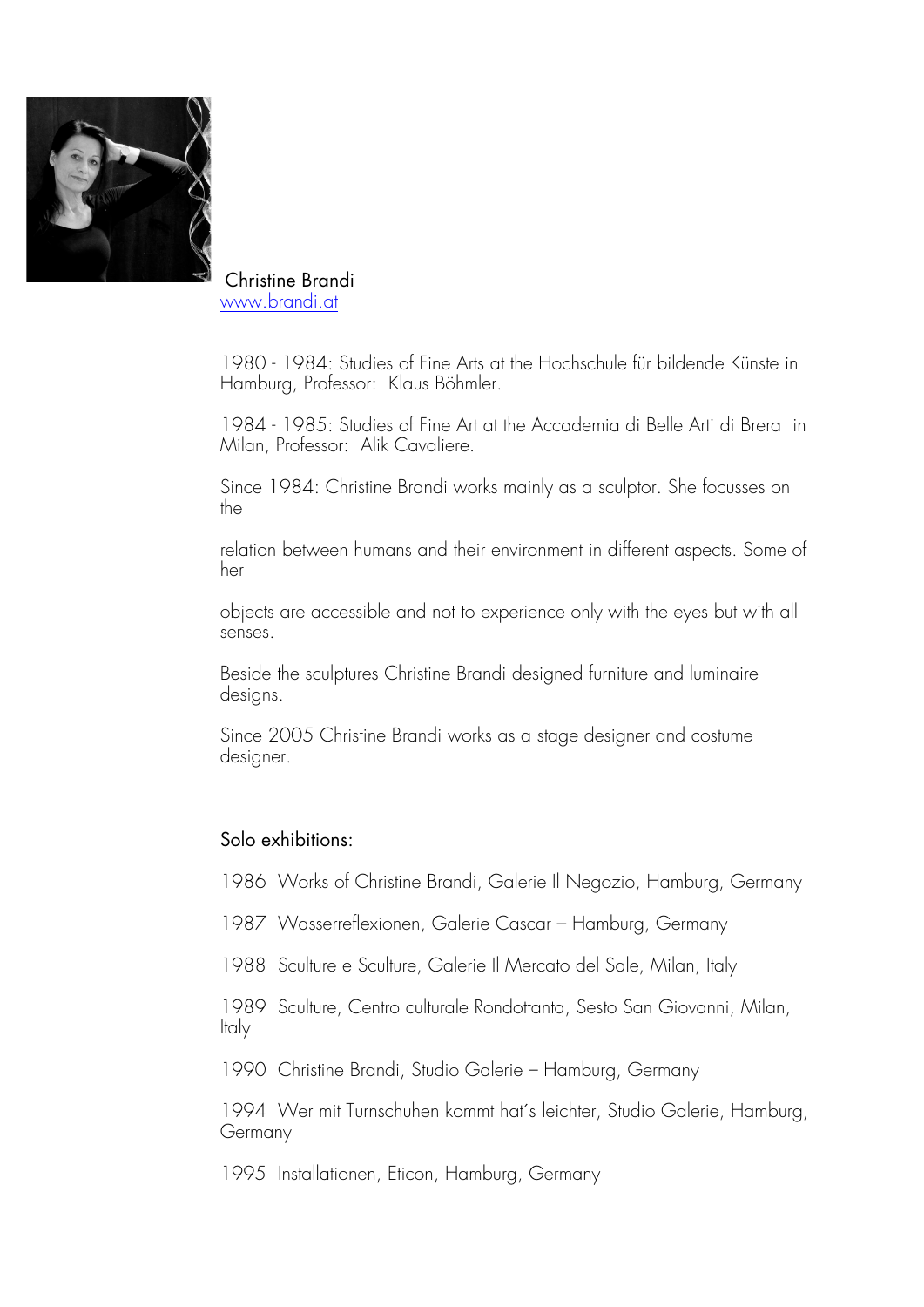

Christine Brandi www.brandi.at

1980 - 1984: Studies of Fine Arts at the Hochschule für bildende Künste in Hamburg, Professor: Klaus Böhmler.

1984 - 1985: Studies of Fine Art at the Accademia di Belle Arti di Brera in Milan, Professor: Alik Cavaliere.

Since 1984: Christine Brandi works mainly as a sculptor. She focusses on the

relation between humans and their environment in different aspects. Some of her

objects are accessible and not to experience only with the eyes but with all senses.

Beside the sculptures Christine Brandi designed furniture and luminaire designs.

Since 2005 Christine Brandi works as a stage designer and costume designer.

## Solo exhibitions:

1986 Works of Christine Brandi, Galerie Il Negozio, Hamburg, Germany

1987 Wasserreflexionen, Galerie Cascar – Hamburg, Germany

1988 Sculture e Sculture, Galerie Il Mercato del Sale, Milan, Italy

1989 Sculture, Centro culturale Rondottanta, Sesto San Giovanni, Milan, Italy

1990 Christine Brandi, Studio Galerie – Hamburg, Germany

1994 Wer mit Turnschuhen kommt hat´s leichter, Studio Galerie, Hamburg, Germany

1995 Installationen, Eticon, Hamburg, Germany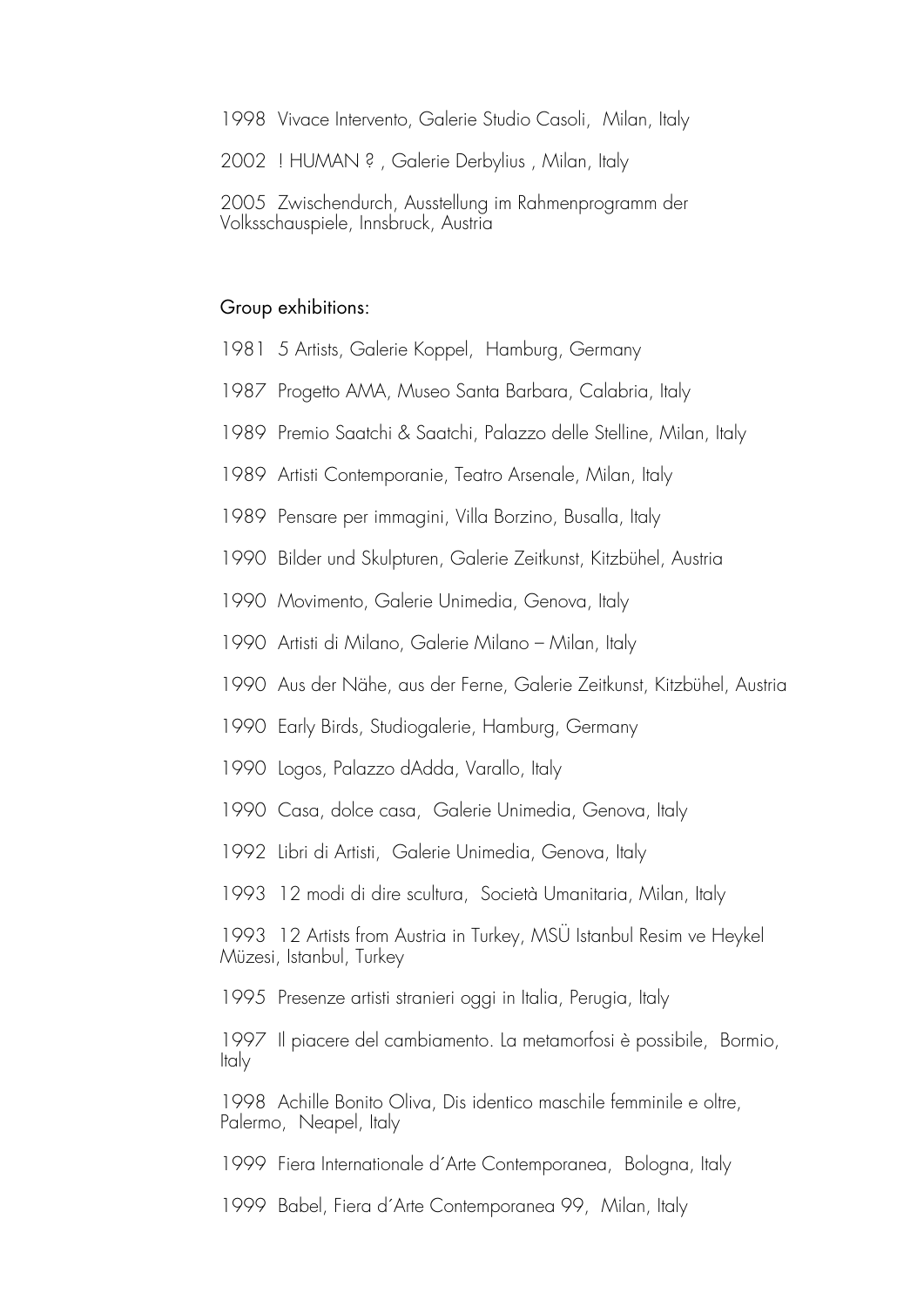1998 Vivace Intervento, Galerie Studio Casoli, Milan, Italy

2002 ! HUMAN ? , Galerie Derbylius , Milan, Italy

2005 Zwischendurch, Ausstellung im Rahmenprogramm der Volksschauspiele, Innsbruck, Austria

## Group exhibitions:

- 1981 5 Artists, Galerie Koppel, Hamburg, Germany
- 1987 Progetto AMA, Museo Santa Barbara, Calabria, Italy
- 1989 Premio Saatchi & Saatchi, Palazzo delle Stelline, Milan, Italy
- 1989 Artisti Contemporanie, Teatro Arsenale, Milan, Italy
- 1989 Pensare per immagini, Villa Borzino, Busalla, Italy
- 1990 Bilder und Skulpturen, Galerie Zeitkunst, Kitzbühel, Austria
- 1990 Movimento, Galerie Unimedia, Genova, Italy
- 1990 Artisti di Milano, Galerie Milano Milan, Italy
- 1990 Aus der Nähe, aus der Ferne, Galerie Zeitkunst, Kitzbühel, Austria
- 1990 Early Birds, Studiogalerie, Hamburg, Germany
- 1990 Logos, Palazzo dAdda, Varallo, Italy
- 1990 Casa, dolce casa, Galerie Unimedia, Genova, Italy
- 1992 Libri di Artisti, Galerie Unimedia, Genova, Italy
- 1993 12 modi di dire scultura, Società Umanitaria, Milan, Italy

1993 12 Artists from Austria in Turkey, MSÜ Istanbul Resim ve Heykel Müzesi, Istanbul, Turkey

1995 Presenze artisti stranieri oggi in Italia, Perugia, Italy

1997 Il piacere del cambiamento. La metamorfosi è possibile, Bormio, Italy

1998 Achille Bonito Oliva, Dis identico maschile femminile e oltre, Palermo, Neapel, Italy

1999 Fiera Internationale d´Arte Contemporanea, Bologna, Italy

1999 Babel, Fiera d´Arte Contemporanea 99, Milan, Italy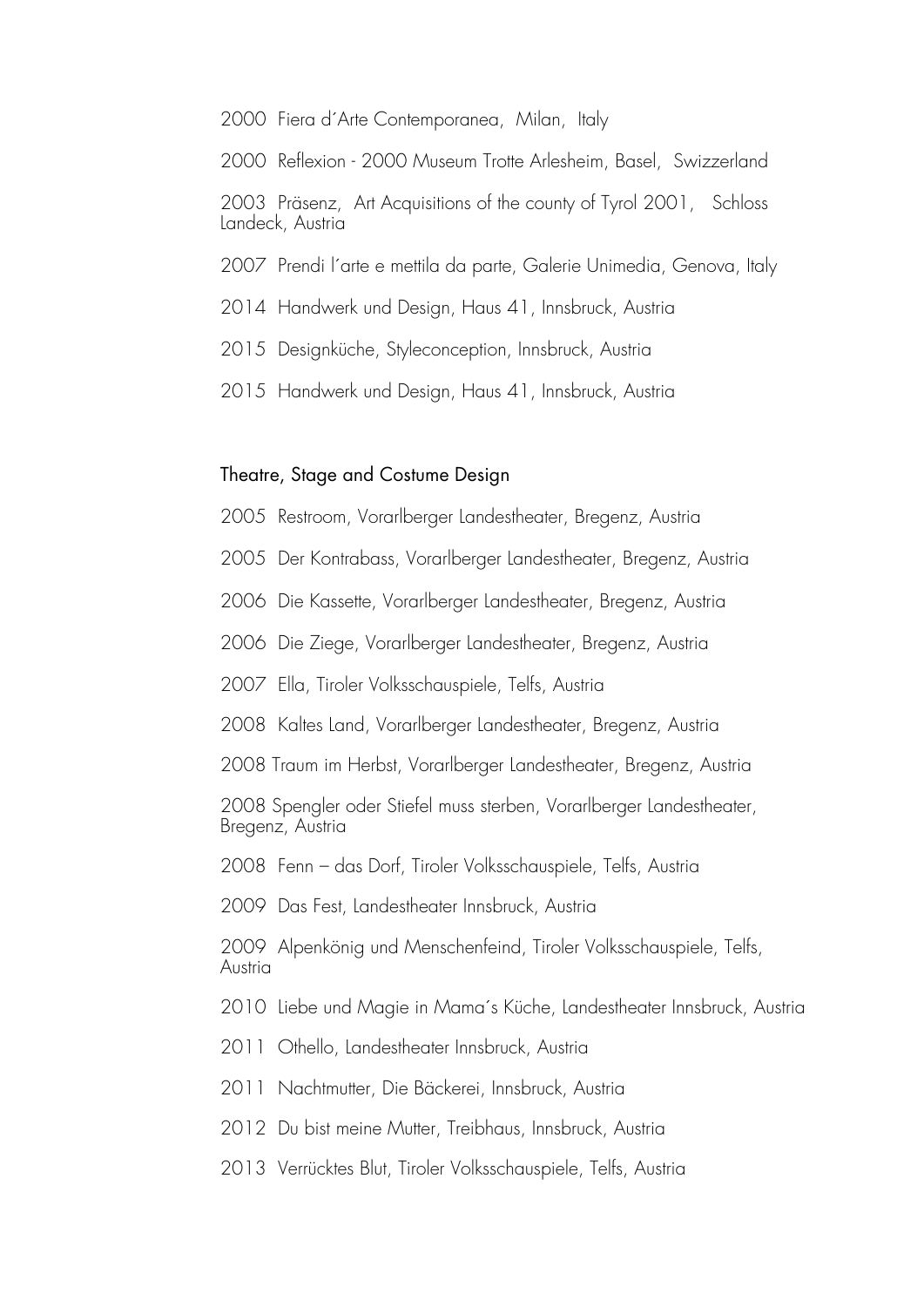- 2000 Fiera d´Arte Contemporanea, Milan, Italy
- 2000 Reflexion 2000 Museum Trotte Arlesheim, Basel, Swizzerland

2003 Präsenz, Art Acquisitions of the county of Tyrol 2001, Schloss Landeck, Austria

- 2007 Prendi l´arte e mettila da parte, Galerie Unimedia, Genova, Italy
- 2014 Handwerk und Design, Haus 41, Innsbruck, Austria
- 2015 Designküche, Styleconception, Innsbruck, Austria
- 2015 Handwerk und Design, Haus 41, Innsbruck, Austria

## Theatre, Stage and Costume Design

- 2005 Restroom, Vorarlberger Landestheater, Bregenz, Austria
- 2005 Der Kontrabass, Vorarlberger Landestheater, Bregenz, Austria
- 2006 Die Kassette, Vorarlberger Landestheater, Bregenz, Austria
- 2006 Die Ziege, Vorarlberger Landestheater, Bregenz, Austria
- 2007 Ella, Tiroler Volksschauspiele, Telfs, Austria
- 2008 Kaltes Land, Vorarlberger Landestheater, Bregenz, Austria
- 2008 Traum im Herbst, Vorarlberger Landestheater, Bregenz, Austria

2008 Spengler oder Stiefel muss sterben, Vorarlberger Landestheater, Bregenz, Austria

- 2008 Fenn das Dorf, Tiroler Volksschauspiele, Telfs, Austria
- 2009 Das Fest, Landestheater Innsbruck, Austria

2009 Alpenkönig und Menschenfeind, Tiroler Volksschauspiele, Telfs, Austria

- 2010 Liebe und Magie in Mama´s Küche, Landestheater Innsbruck, Austria
- 2011 Othello, Landestheater Innsbruck, Austria
- 2011 Nachtmutter, Die Bäckerei, Innsbruck, Austria
- 2012 Du bist meine Mutter, Treibhaus, Innsbruck, Austria
- 2013 Verrücktes Blut, Tiroler Volksschauspiele, Telfs, Austria